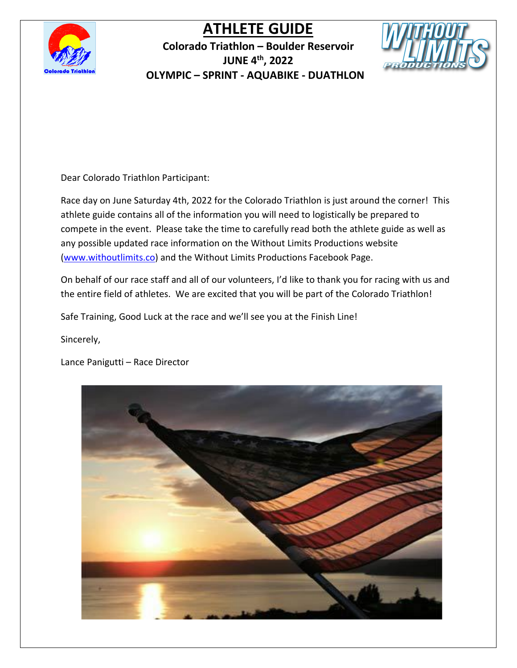

**Colorado Triathlon – Boulder Reservoir JUNE 4th, 2022 OLYMPIC – SPRINT - AQUABIKE - DUATHLON**



Dear Colorado Triathlon Participant:

Race day on June Saturday 4th, 2022 for the Colorado Triathlon is just around the corner! This athlete guide contains all of the information you will need to logistically be prepared to compete in the event. Please take the time to carefully read both the athlete guide as well as any possible updated race information on the Without Limits Productions website [\(www.withoutlimits.co\)](http://www.withoutlimits.co/) and the Without Limits Productions Facebook Page.

On behalf of our race staff and all of our volunteers, I'd like to thank you for racing with us and the entire field of athletes. We are excited that you will be part of the Colorado Triathlon!

Safe Training, Good Luck at the race and we'll see you at the Finish Line!

Sincerely,

Lance Panigutti – Race Director

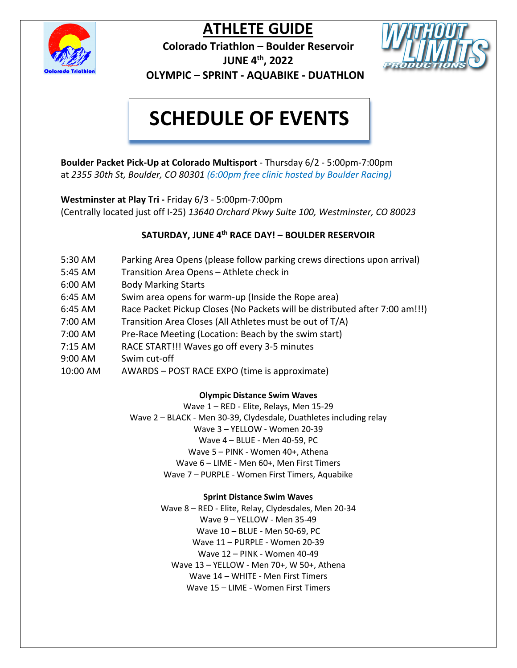

**Colorado Triathlon – Boulder Reservoir JUNE 4th, 2022 OLYMPIC – SPRINT - AQUABIKE - DUATHLON**



# **SCHEDULE OF EVENTS**

**Boulder Packet Pick-Up at Colorado Multisport** - Thursday 6/2 - 5:00pm-7:00pm at *2355 30th St, Boulder, CO 80301 (6:00pm free clinic hosted by Boulder Racing)*

**Westminster at Play Tri -** Friday 6/3 - 5:00pm-7:00pm (Centrally located just off I-25) *13640 Orchard Pkwy Suite 100, Westminster, CO 80023*

### **SATURDAY, JUNE 4th RACE DAY! – BOULDER RESERVOIR**

- 5:30 AM Parking Area Opens (please follow parking crews directions upon arrival)
- 5:45 AM Transition Area Opens Athlete check in
- 6:00 AM Body Marking Starts
- 6:45 AM Swim area opens for warm-up (Inside the Rope area)
- 6:45 AM Race Packet Pickup Closes (No Packets will be distributed after 7:00 am!!!)
- 7:00 AM Transition Area Closes (All Athletes must be out of T/A)
- 7:00 AM Pre-Race Meeting (Location: Beach by the swim start)
- 7:15 AM RACE START!!! Waves go off every 3-5 minutes
- 9:00 AM Swim cut-off
- 10:00 AM AWARDS POST RACE EXPO (time is approximate)

#### **Olympic Distance Swim Waves**

Wave 1 – RED - Elite, Relays, Men 15-29 Wave 2 – BLACK - Men 30-39, Clydesdale, Duathletes including relay Wave 3 – YELLOW - Women 20-39 Wave 4 – BLUE - Men 40-59, PC Wave 5 – PINK - Women 40+, Athena Wave 6 – LIME - Men 60+, Men First Timers Wave 7 – PURPLE - Women First Timers, Aquabike

#### **Sprint Distance Swim Waves**

Wave 8 – RED - Elite, Relay, Clydesdales, Men 20-34 Wave 9 – YELLOW - Men 35-49 Wave 10 – BLUE - Men 50-69, PC Wave 11 – PURPLE - Women 20-39 Wave 12 – PINK - Women 40-49 Wave 13 – YELLOW - Men 70+, W 50+, Athena Wave 14 – WHITE - Men First Timers Wave 15 – LIME - Women First Timers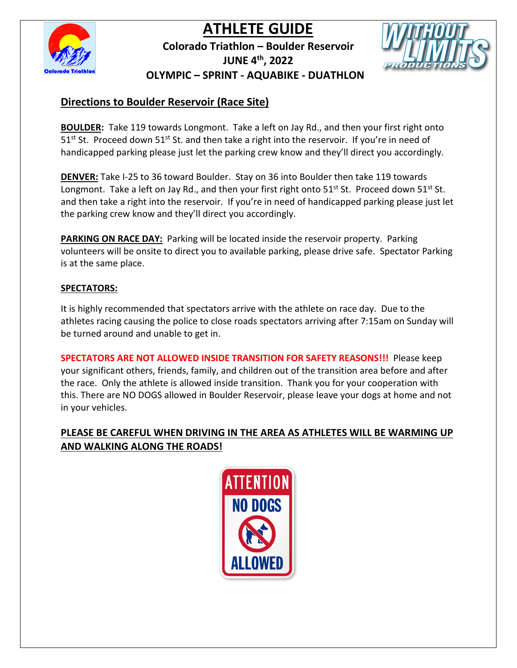

**Colorado Triathlon – Boulder Reservoir JUNE 4th, 2022 OLYMPIC – SPRINT - AQUABIKE - DUATHLON**



### **Directions to Boulder Reservoir (Race Site)**

**BOULDER:** Take 119 towards Longmont. Take a left on Jay Rd., and then your first right onto  $51<sup>st</sup>$  St. Proceed down  $51<sup>st</sup>$  St. and then take a right into the reservoir. If you're in need of handicapped parking please just let the parking crew know and they'll direct you accordingly.

**DENVER:** Take I-25 to 36 toward Boulder. Stay on 36 into Boulder then take 119 towards Longmont. Take a left on Jay Rd., and then your first right onto  $51<sup>st</sup> St.$  Proceed down  $51<sup>st</sup> St.$ and then take a right into the reservoir. If you're in need of handicapped parking please just let the parking crew know and they'll direct you accordingly.

**PARKING ON RACE DAY:** Parking will be located inside the reservoir property. Parking volunteers will be onsite to direct you to available parking, please drive safe. Spectator Parking is at the same place.

### **SPECTATORS:**

It is highly recommended that spectators arrive with the athlete on race day. Due to the athletes racing causing the police to close roads spectators arriving after 7:15am on Sunday will be turned around and unable to get in.

**SPECTATORS ARE NOT ALLOWED INSIDE TRANSITION FOR SAFETY REASONS!!!** Please keep your significant others, friends, family, and children out of the transition area before and after the race. Only the athlete is allowed inside transition. Thank you for your cooperation with this. There are NO DOGS allowed in Boulder Reservoir, please leave your dogs at home and not in your vehicles.

### **PLEASE BE CAREFUL WHEN DRIVING IN THE AREA AS ATHLETES WILL BE WARMING UP AND WALKING ALONG THE ROADS!**

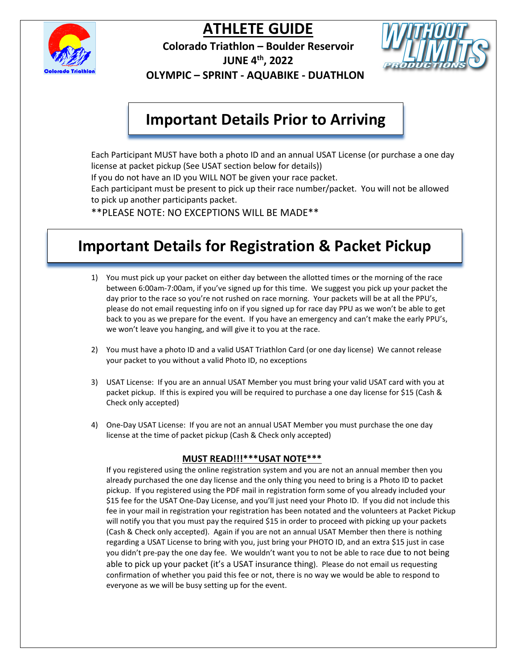

**Colorado Triathlon – Boulder Reservoir JUNE 4th, 2022 OLYMPIC – SPRINT - AQUABIKE - DUATHLON**



## **Important Details Prior to Arriving**

Each Participant MUST have both a photo ID and an annual USAT License (or purchase a one day license at packet pickup (See USAT section below for details)) If you do not have an ID you WILL NOT be given your race packet. Each participant must be present to pick up their race number/packet. You will not be allowed to pick up another participants packet. \*\*PLEASE NOTE: NO EXCEPTIONS WILL BE MADE\*\*

**Important Details for Registration & Packet Pickup**

- 1) You must pick up your packet on either day between the allotted times or the morning of the race between 6:00am-7:00am, if you've signed up for this time. We suggest you pick up your packet the day prior to the race so you're not rushed on race morning. Your packets will be at all the PPU's, please do not email requesting info on if you signed up for race day PPU as we won't be able to get back to you as we prepare for the event. If you have an emergency and can't make the early PPU's, we won't leave you hanging, and will give it to you at the race.
- 2) You must have a photo ID and a valid USAT Triathlon Card (or one day license) We cannot release your packet to you without a valid Photo ID, no exceptions
- 3) USAT License: If you are an annual USAT Member you must bring your valid USAT card with you at packet pickup. If this is expired you will be required to purchase a one day license for \$15 (Cash & Check only accepted)
- 4) One-Day USAT License: If you are not an annual USAT Member you must purchase the one day license at the time of packet pickup (Cash & Check only accepted)

#### **MUST READ!!!\*\*\*USAT NOTE\*\*\***

If you registered using the online registration system and you are not an annual member then you already purchased the one day license and the only thing you need to bring is a Photo ID to packet pickup. If you registered using the PDF mail in registration form some of you already included your \$15 fee for the USAT One-Day License, and you'll just need your Photo ID. If you did not include this fee in your mail in registration your registration has been notated and the volunteers at Packet Pickup will notify you that you must pay the required \$15 in order to proceed with picking up your packets (Cash & Check only accepted). Again if you are not an annual USAT Member then there is nothing regarding a USAT License to bring with you, just bring your PHOTO ID, and an extra \$15 just in case you didn't pre-pay the one day fee. We wouldn't want you to not be able to race due to not being able to pick up your packet (it's a USAT insurance thing). Please do not email us requesting confirmation of whether you paid this fee or not, there is no way we would be able to respond to everyone as we will be busy setting up for the event.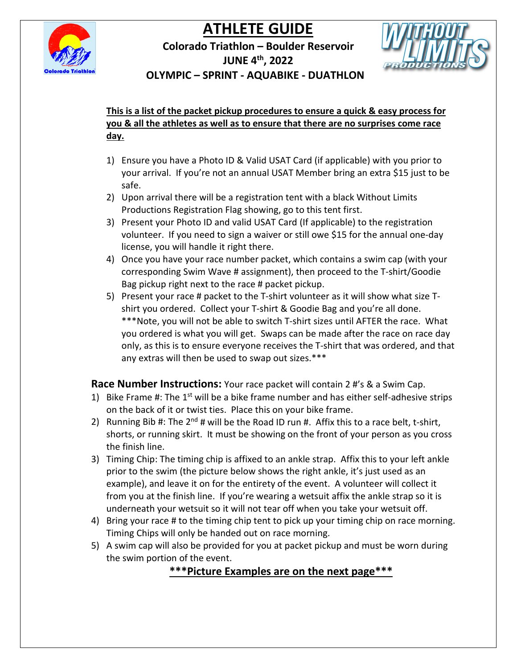



**Colorado Triathlon – Boulder Reservoir JUNE 4th, 2022** 



 **OLYMPIC – SPRINT - AQUABIKE - DUATHLON**

### **This is a list of the packet pickup procedures to ensure a quick & easy process for you & all the athletes as well as to ensure that there are no surprises come race day.**

- 1) Ensure you have a Photo ID & Valid USAT Card (if applicable) with you prior to your arrival. If you're not an annual USAT Member bring an extra \$15 just to be safe.
- 2) Upon arrival there will be a registration tent with a black Without Limits Productions Registration Flag showing, go to this tent first.
- 3) Present your Photo ID and valid USAT Card (If applicable) to the registration volunteer. If you need to sign a waiver or still owe \$15 for the annual one-day license, you will handle it right there.
- 4) Once you have your race number packet, which contains a swim cap (with your corresponding Swim Wave # assignment), then proceed to the T-shirt/Goodie Bag pickup right next to the race # packet pickup.
- 5) Present your race # packet to the T-shirt volunteer as it will show what size Tshirt you ordered. Collect your T-shirt & Goodie Bag and you're all done. \*\*\*Note, you will not be able to switch T-shirt sizes until AFTER the race. What you ordered is what you will get. Swaps can be made after the race on race day only, as this is to ensure everyone receives the T-shirt that was ordered, and that any extras will then be used to swap out sizes.\*\*\*

**Race Number Instructions:** Your race packet will contain 2 #'s & a Swim Cap.

- 1) Bike Frame #: The  $1<sup>st</sup>$  will be a bike frame number and has either self-adhesive strips on the back of it or twist ties. Place this on your bike frame.
- 2) Running Bib #: The  $2^{nd}$  # will be the Road ID run #. Affix this to a race belt, t-shirt, shorts, or running skirt. It must be showing on the front of your person as you cross the finish line.
- 3) Timing Chip: The timing chip is affixed to an ankle strap. Affix this to your left ankle prior to the swim (the picture below shows the right ankle, it's just used as an example), and leave it on for the entirety of the event. A volunteer will collect it from you at the finish line. If you're wearing a wetsuit affix the ankle strap so it is underneath your wetsuit so it will not tear off when you take your wetsuit off.
- 4) Bring your race # to the timing chip tent to pick up your timing chip on race morning. Timing Chips will only be handed out on race morning.
- 5) A swim cap will also be provided for you at packet pickup and must be worn during the swim portion of the event.

**\*\*\*Picture Examples are on the next page\*\*\***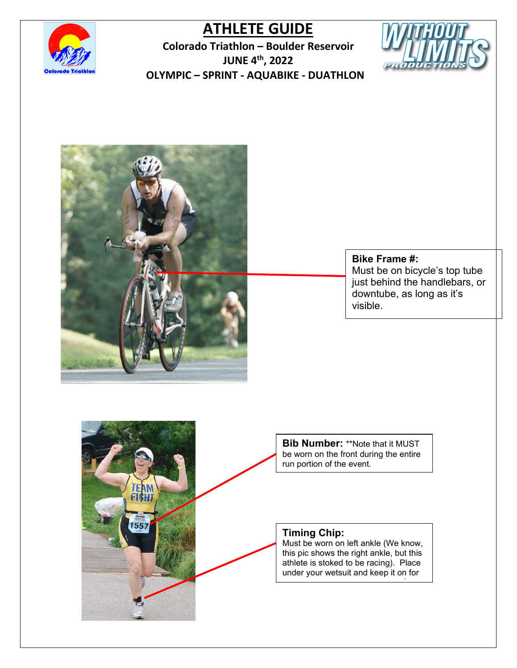

**Colorado Triathlon – Boulder Reservoir JUNE 4th, 2022 OLYMPIC – SPRINT - AQUABIKE - DUATHLON**





557

### **Bike Frame #:**

Must be on bicycle's top tube just behind the handlebars, or downtube, as long as it's visible.

**Bib Number:** \*\*Note that it MUST be worn on the front during the entire run portion of the event.

### **Timing Chip:**

Must be worn on left ankle (We know, this pic shows the right ankle, but this athlete is stoked to be racing). Place under your wetsuit and keep it on for

<u>for the contract of the contract of the contract of the contract of the contract of the contract of the contract of the contract of the contract of the contract of the contract of the contract of the contract of the contr</u>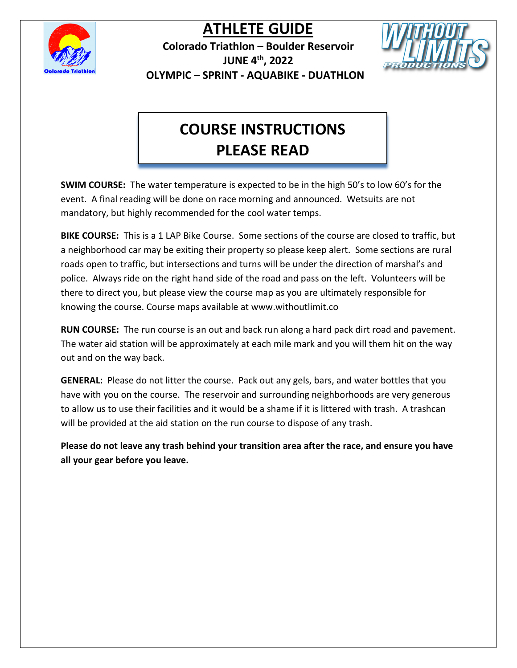

**Colorado Triathlon – Boulder Reservoir JUNE 4th, 2022 OLYMPIC – SPRINT - AQUABIKE - DUATHLON**



# **COURSE INSTRUCTIONS PLEASE READ**

**SWIM COURSE:** The water temperature is expected to be in the high 50's to low 60's for the event. A final reading will be done on race morning and announced. Wetsuits are not mandatory, but highly recommended for the cool water temps.

**BIKE COURSE:** This is a 1 LAP Bike Course. Some sections of the course are closed to traffic, but a neighborhood car may be exiting their property so please keep alert. Some sections are rural roads open to traffic, but intersections and turns will be under the direction of marshal's and police. Always ride on the right hand side of the road and pass on the left. Volunteers will be there to direct you, but please view the course map as you are ultimately responsible for knowing the course. Course maps available at www.withoutlimit.co

**RUN COURSE:** The run course is an out and back run along a hard pack dirt road and pavement. The water aid station will be approximately at each mile mark and you will them hit on the way out and on the way back.

**GENERAL:** Please do not litter the course. Pack out any gels, bars, and water bottles that you have with you on the course. The reservoir and surrounding neighborhoods are very generous to allow us to use their facilities and it would be a shame if it is littered with trash. A trashcan will be provided at the aid station on the run course to dispose of any trash.

**Please do not leave any trash behind your transition area after the race, and ensure you have all your gear before you leave.**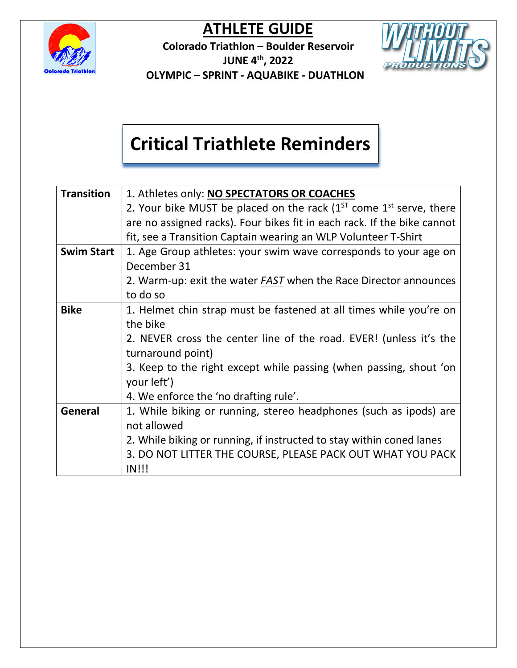

**Colorado Triathlon – Boulder Reservoir JUNE 4th, 2022 OLYMPIC – SPRINT - AQUABIKE - DUATHLON**



# **Critical Triathlete Reminders**

| <b>Transition</b> | 1. Athletes only: NO SPECTATORS OR COACHES                                   |
|-------------------|------------------------------------------------------------------------------|
|                   | 2. Your bike MUST be placed on the rack $(1^{ST}$ come $1^{st}$ serve, there |
|                   | are no assigned racks). Four bikes fit in each rack. If the bike cannot      |
|                   | fit, see a Transition Captain wearing an WLP Volunteer T-Shirt               |
| <b>Swim Start</b> | 1. Age Group athletes: your swim wave corresponds to your age on             |
|                   | December 31                                                                  |
|                   | 2. Warm-up: exit the water <b>FAST</b> when the Race Director announces      |
|                   | to do so                                                                     |
| <b>Bike</b>       | 1. Helmet chin strap must be fastened at all times while you're on           |
|                   | the bike                                                                     |
|                   | 2. NEVER cross the center line of the road. EVER! (unless it's the           |
|                   | turnaround point)                                                            |
|                   | 3. Keep to the right except while passing (when passing, shout 'on           |
|                   | your left')                                                                  |
|                   | 4. We enforce the 'no drafting rule'.                                        |
| General           | 1. While biking or running, stereo headphones (such as ipods) are            |
|                   | not allowed                                                                  |
|                   | 2. While biking or running, if instructed to stay within coned lanes         |
|                   | 3. DO NOT LITTER THE COURSE, PLEASE PACK OUT WHAT YOU PACK                   |
|                   | $IN$ !!!                                                                     |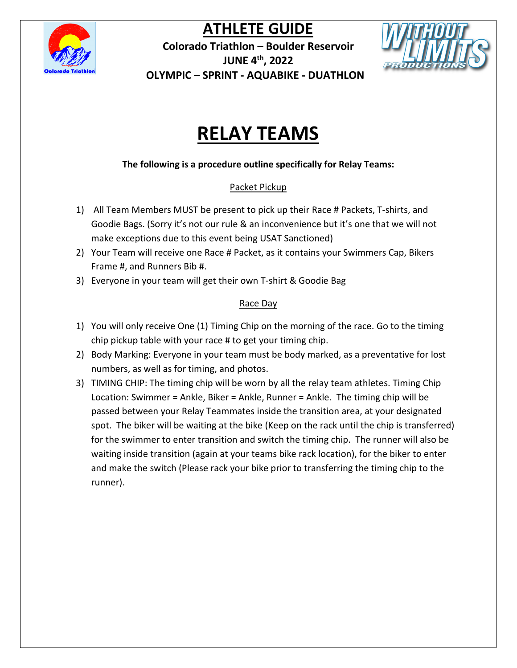

**Colorado Triathlon – Boulder Reservoir JUNE 4th, 2022 OLYMPIC – SPRINT - AQUABIKE - DUATHLON**



# **RELAY TEAMS**

**The following is a procedure outline specifically for Relay Teams:**

### Packet Pickup

- 1) All Team Members MUST be present to pick up their Race # Packets, T-shirts, and Goodie Bags. (Sorry it's not our rule & an inconvenience but it's one that we will not make exceptions due to this event being USAT Sanctioned)
- 2) Your Team will receive one Race # Packet, as it contains your Swimmers Cap, Bikers Frame #, and Runners Bib #.
- 3) Everyone in your team will get their own T-shirt & Goodie Bag

### Race Day

- 1) You will only receive One (1) Timing Chip on the morning of the race. Go to the timing chip pickup table with your race # to get your timing chip.
- 2) Body Marking: Everyone in your team must be body marked, as a preventative for lost numbers, as well as for timing, and photos.
- 3) TIMING CHIP: The timing chip will be worn by all the relay team athletes. Timing Chip Location: Swimmer = Ankle, Biker = Ankle, Runner = Ankle. The timing chip will be passed between your Relay Teammates inside the transition area, at your designated spot. The biker will be waiting at the bike (Keep on the rack until the chip is transferred) for the swimmer to enter transition and switch the timing chip. The runner will also be waiting inside transition (again at your teams bike rack location), for the biker to enter and make the switch (Please rack your bike prior to transferring the timing chip to the runner).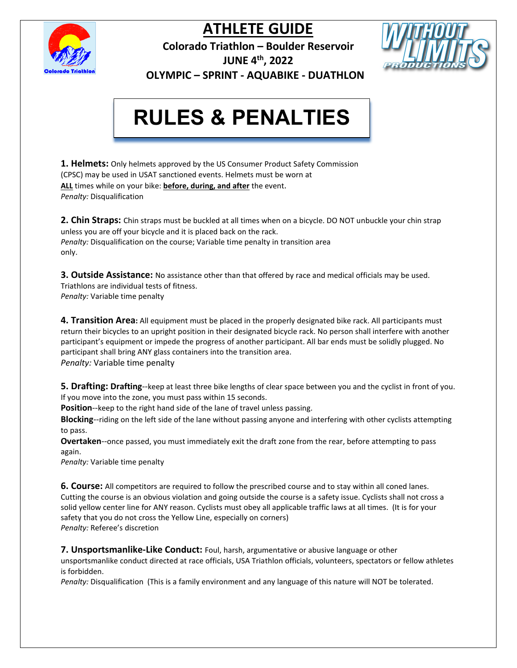

**Colorado Triathlon – Boulder Reservoir**



**JUNE 4th, 2022** 

 **OLYMPIC – SPRINT - AQUABIKE - DUATHLON**

## **PLEASE READ BEFORE THE RACE! RULES & PENALTIES**

**1. Helmets:** Only helmets approved by the US Consumer Product Safety Commission (CPSC) may be used in USAT sanctioned events. Helmets must be worn at **ALL** times while on your bike: **before, during, and after** the event. *Penalty:* Disqualification

**2. Chin Straps:** Chin straps must be buckled at all times when on a bicycle. DO NOT unbuckle your chin strap unless you are off your bicycle and it is placed back on the rack. *Penalty:* Disqualification on the course; Variable time penalty in transition area only.

**3. Outside Assistance:** No assistance other than that offered by race and medical officials may be used. Triathlons are individual tests of fitness. *Penalty:* Variable time penalty

**4. Transition Area:** All equipment must be placed in the properly designated bike rack. All participants must return their bicycles to an upright position in their designated bicycle rack. No person shall interfere with another participant's equipment or impede the progress of another participant. All bar ends must be solidly plugged. No participant shall bring ANY glass containers into the transition area. *Penalty:* Variable time penalty

**5. Drafting: Drafting**--keep at least three bike lengths of clear space between you and the cyclist in front of you. If you move into the zone, you must pass within 15 seconds.

**Position**--keep to the right hand side of the lane of travel unless passing.

**Blocking**--riding on the left side of the lane without passing anyone and interfering with other cyclists attempting to pass.

**Overtaken**--once passed, you must immediately exit the draft zone from the rear, before attempting to pass again.

*Penalty:* Variable time penalty

**6. Course:** All competitors are required to follow the prescribed course and to stay within all coned lanes. Cutting the course is an obvious violation and going outside the course is a safety issue. Cyclists shall not cross a solid yellow center line for ANY reason. Cyclists must obey all applicable traffic laws at all times. (It is for your safety that you do not cross the Yellow Line, especially on corners) *Penalty:* Referee's discretion

**7. Unsportsmanlike-Like Conduct:** Foul, harsh, argumentative or abusive language or other unsportsmanlike conduct directed at race officials, USA Triathlon officials, volunteers, spectators or fellow athletes is forbidden.

*Penalty:* Disqualification (This is a family environment and any language of this nature will NOT be tolerated.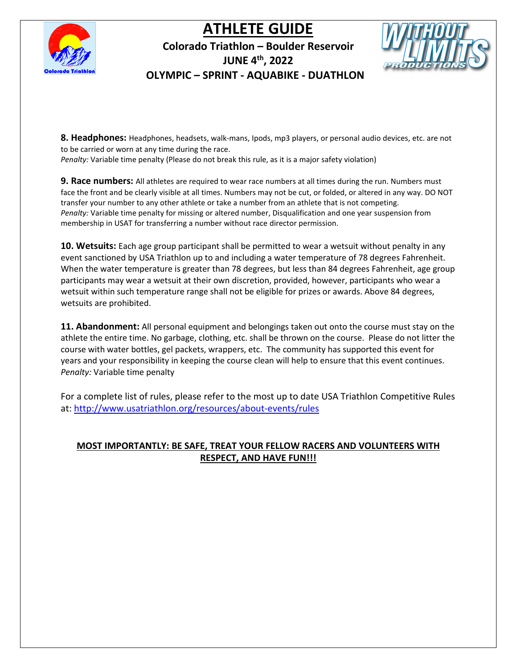

### **Colorado Triathlon – Boulder Reservoir JUNE 4th, 2022 OLYMPIC – SPRINT - AQUABIKE - DUATHLON**



**8. Headphones:** Headphones, headsets, walk-mans, Ipods, mp3 players, or personal audio devices, etc. are not to be carried or worn at any time during the race.

*Penalty:* Variable time penalty (Please do not break this rule, as it is a major safety violation)

**9. Race numbers:** All athletes are required to wear race numbers at all times during the run. Numbers must face the front and be clearly visible at all times. Numbers may not be cut, or folded, or altered in any way. DO NOT transfer your number to any other athlete or take a number from an athlete that is not competing. *Penalty:* Variable time penalty for missing or altered number, Disqualification and one year suspension from membership in USAT for transferring a number without race director permission.

**10. Wetsuits:** Each age group participant shall be permitted to wear a wetsuit without penalty in any event sanctioned by USA Triathlon up to and including a water temperature of 78 degrees Fahrenheit. When the water temperature is greater than 78 degrees, but less than 84 degrees Fahrenheit, age group participants may wear a wetsuit at their own discretion, provided, however, participants who wear a wetsuit within such temperature range shall not be eligible for prizes or awards. Above 84 degrees, wetsuits are prohibited.

**11. Abandonment:** All personal equipment and belongings taken out onto the course must stay on the athlete the entire time. No garbage, clothing, etc. shall be thrown on the course. Please do not litter the course with water bottles, gel packets, wrappers, etc. The community has supported this event for years and your responsibility in keeping the course clean will help to ensure that this event continues. *Penalty:* Variable time penalty

For a complete list of rules, please refer to the most up to date USA Triathlon Competitive Rules at: <http://www.usatriathlon.org/resources/about-events/rules>

### **MOST IMPORTANTLY: BE SAFE, TREAT YOUR FELLOW RACERS AND VOLUNTEERS WITH RESPECT, AND HAVE FUN!!!**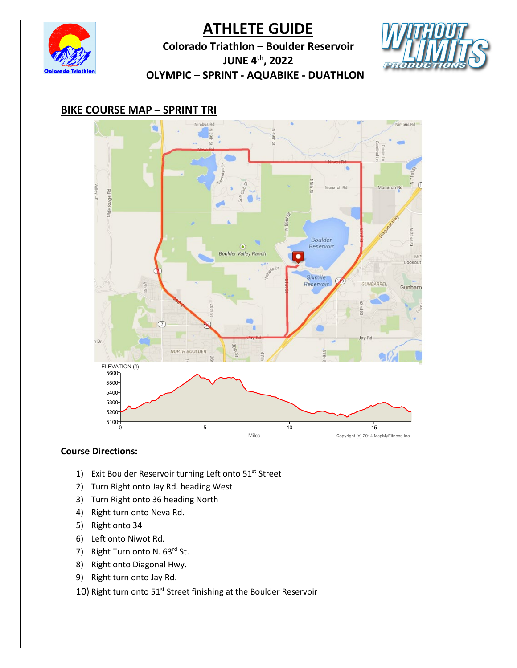

**Colorado Triathlon – Boulder Reservoir**



**JUNE 4th, 2022** 

 **OLYMPIC – SPRINT - AQUABIKE - DUATHLON**

### **BIKE COURSE MAP – SPRINT TRI**



- 1) Exit Boulder Reservoir turning Left onto 51<sup>st</sup> Street
- 2) Turn Right onto Jay Rd. heading West
- 3) Turn Right onto 36 heading North
- 4) Right turn onto Neva Rd.
- 5) Right onto 34
- 6) Left onto Niwot Rd.
- 7) Right Turn onto N. 63rd St.
- 8) Right onto Diagonal Hwy.
- 9) Right turn onto Jay Rd.
- 10) Right turn onto 51<sup>st</sup> Street finishing at the Boulder Reservoir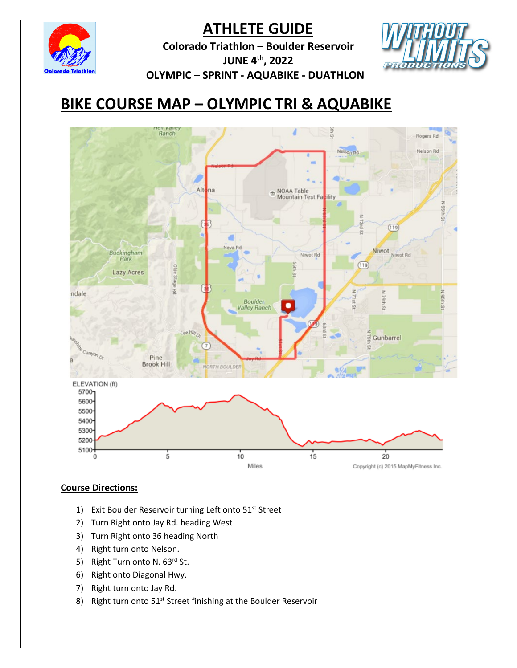

**Colorado Triathlon – Boulder Reservoir JUNE 4th, 2022 OLYMPIC – SPRINT - AQUABIKE - DUATHLON**



## **BIKE COURSE MAP – OLYMPIC TRI & AQUABIKE**



- 1) Exit Boulder Reservoir turning Left onto 51<sup>st</sup> Street
- 2) Turn Right onto Jay Rd. heading West
- 3) Turn Right onto 36 heading North
- 4) Right turn onto Nelson.
- 5) Right Turn onto N. 63rd St.
- 6) Right onto Diagonal Hwy.
- 7) Right turn onto Jay Rd.
- 8) Right turn onto 51<sup>st</sup> Street finishing at the Boulder Reservoir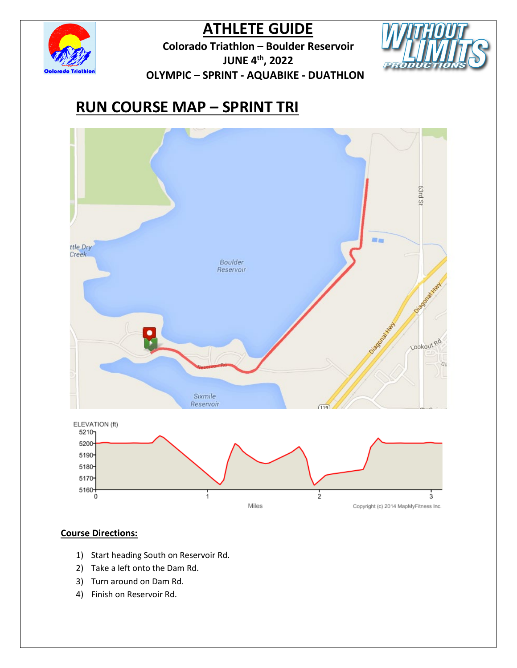

**Colorado Triathlon – Boulder Reservoir JUNE 4th, 2022 OLYMPIC – SPRINT - AQUABIKE - DUATHLON**



# **RUN COURSE MAP – SPRINT TRI**



- 1) Start heading South on Reservoir Rd.
- 2) Take a left onto the Dam Rd.
- 3) Turn around on Dam Rd.
- 4) Finish on Reservoir Rd.